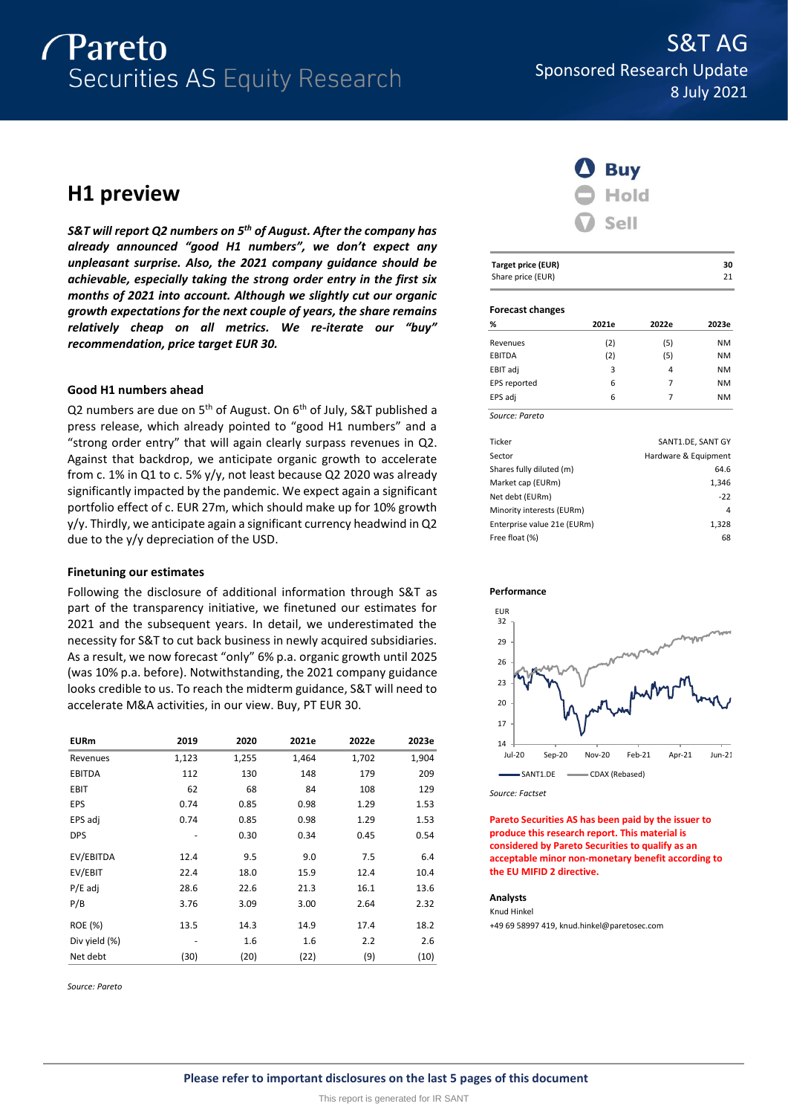

# **H1 preview**

*S&T will report Q2 numbers on 5 th of August. After the company has already announced "good H1 numbers", we don't expect any unpleasant surprise. Also, the 2021 company guidance should be achievable, especially taking the strong order entry in the first six months of 2021 into account. Although we slightly cut our organic growth expectations for the next couple of years, the share remains relatively cheap on all metrics. We re-iterate our "buy" recommendation, price target EUR 30.*

## **Good H1 numbers ahead**

Q2 numbers are due on 5<sup>th</sup> of August. On 6<sup>th</sup> of July, S&T published a press release, which already pointed to "good H1 numbers" and a "strong order entry" that will again clearly surpass revenues in Q2. Against that backdrop, we anticipate organic growth to accelerate from c. 1% in Q1 to c. 5% y/y, not least because Q2 2020 was already significantly impacted by the pandemic. We expect again a significant portfolio effect of c. EUR 27m, which should make up for 10% growth y/y. Thirdly, we anticipate again a significant currency headwind in Q2 due to the y/y depreciation of the USD.

## **Finetuning our estimates**

Following the disclosure of additional information through S&T as part of the transparency initiative, we finetuned our estimates for 2021 and the subsequent years. In detail, we underestimated the necessity for S&T to cut back business in newly acquired subsidiaries. As a result, we now forecast "only" 6% p.a. organic growth until 2025 (was 10% p.a. before). Notwithstanding, the 2021 company guidance looks credible to us. To reach the midterm guidance, S&T will need to accelerate M&A activities, in our view. Buy, PT EUR 30.

| <b>EURm</b>   | 2019  | 2020  | 2021e | 2022e | 2023e |
|---------------|-------|-------|-------|-------|-------|
| Revenues      | 1,123 | 1,255 | 1,464 | 1,702 | 1,904 |
| <b>EBITDA</b> | 112   | 130   | 148   | 179   | 209   |
| <b>EBIT</b>   | 62    | 68    | 84    | 108   | 129   |
| EPS           | 0.74  | 0.85  | 0.98  | 1.29  | 1.53  |
| EPS adj       | 0.74  | 0.85  | 0.98  | 1.29  | 1.53  |
| <b>DPS</b>    |       | 0.30  | 0.34  | 0.45  | 0.54  |
| EV/EBITDA     | 12.4  | 9.5   | 9.0   | 7.5   | 6.4   |
| EV/EBIT       | 22.4  | 18.0  | 15.9  | 12.4  | 10.4  |
| $P/E$ adj     | 28.6  | 22.6  | 21.3  | 16.1  | 13.6  |
| P/B           | 3.76  | 3.09  | 3.00  | 2.64  | 2.32  |
| ROE (%)       | 13.5  | 14.3  | 14.9  | 17.4  | 18.2  |
| Div yield (%) |       | 1.6   | 1.6   | 2.2   | 2.6   |
| Net debt      | (30)  | (20)  | (22)  | (9)   | (10)  |

*Source: Pareto*



| <b>Target price (EUR)</b> | 30 |
|---------------------------|----|
| Share price (EUR)         | 21 |

### **Forecast changes**

| %              | 2021e | 2022e | 2023e     |
|----------------|-------|-------|-----------|
| Revenues       | (2)   | (5)   | <b>NM</b> |
| EBITDA         | (2)   | (5)   | <b>NM</b> |
| EBIT adj       | 3     | 4     | <b>NM</b> |
| EPS reported   | 6     | 7     | <b>NM</b> |
| EPS adj        | 6     | 7     | <b>NM</b> |
| Source: Pareto |       |       |           |

| Ticker                      | SANT1.DE, SANT GY    |
|-----------------------------|----------------------|
| Sector                      | Hardware & Equipment |
| Shares fully diluted (m)    | 64.6                 |
| Market cap (EURm)           | 1.346                |
| Net debt (EURm)             | $-22$                |
| Minority interests (EURm)   | 4                    |
| Enterprise value 21e (EURm) | 1,328                |
| Free float (%)              | 68                   |





*Source: Factset*

**Pareto Securities AS has been paid by the issuer to produce this research report. This material is considered by Pareto Securities to qualify as an acceptable minor non-monetary benefit according to the EU MIFID 2 directive.**

## **Analysts**

Knud Hinkel +49 69 58997 419, knud.hinkel@paretosec.com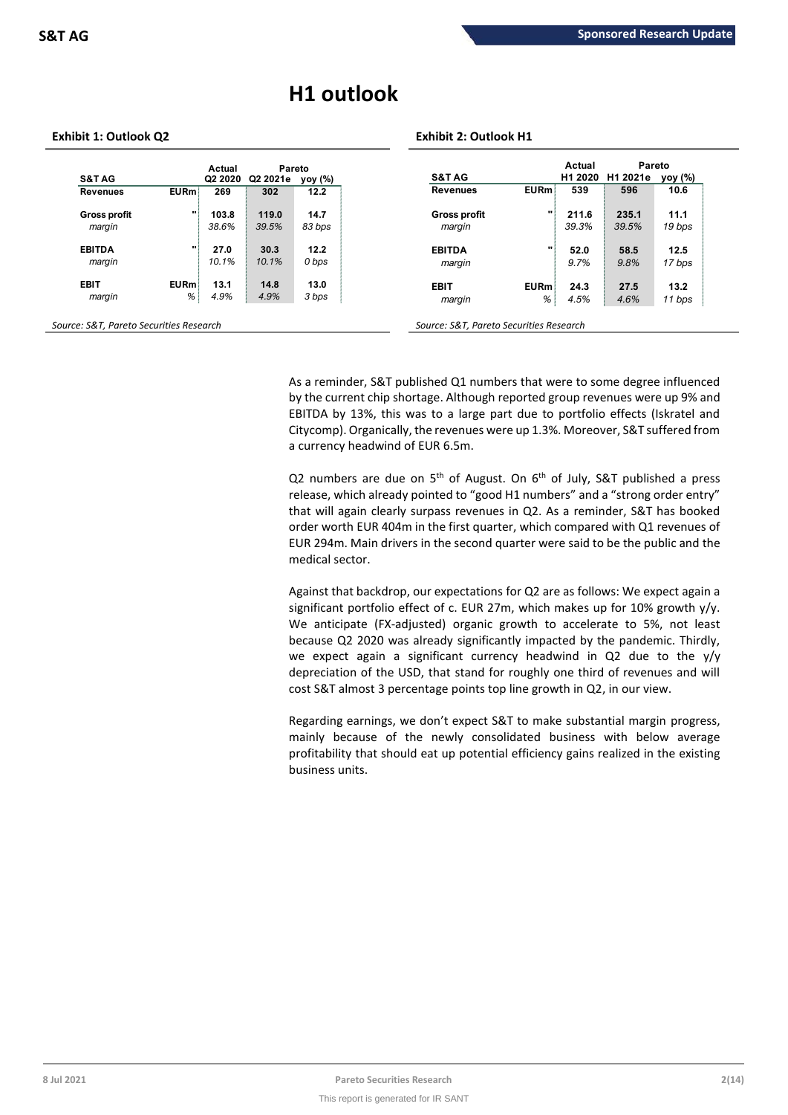# **H1 outlook**

## **Exhibit 1: Outlook Q2 Exhibit 2: Outlook H1**

|                     |             | Actual              | Pareto   |         |                                     | Actual  | Pareto   |         |
|---------------------|-------------|---------------------|----------|---------|-------------------------------------|---------|----------|---------|
| <b>S&amp;T AG</b>   |             | Q <sub>2</sub> 2020 | Q2 2021e | yoy (%) | <b>S&amp;T AG</b>                   | H1 2020 | H1 2021e | yoy (%) |
| <b>Revenues</b>     | <b>EURm</b> | 269                 | 302      | 12.2    | <b>EURm</b><br><b>Revenues</b>      | 539     | 596      | 10.6    |
| <b>Gross profit</b> |             | 103.8               | 119.0    | 14.7    | $\mathbf{u}$<br><b>Gross profit</b> | 211.6   | 235.1    | 11.1    |
| margin              |             | 38.6%               | 39.5%    | 83 bps  | margin                              | 39.3%   | 39.5%    | 19 bps  |
| <b>EBITDA</b>       |             | 27.0                | 30.3     | 12.2    | $\mathbf{u}$<br><b>EBITDA</b>       | 52.0    | 58.5     | 12.5    |
| margin              |             | 10.1%               | 10.1%    | 0 bps   | margin                              | 9.7%    | 9.8%     | 17 bps  |
| <b>EBIT</b>         | <b>EURm</b> | 13.1                | 14.8     | 13.0    | <b>EURm</b><br><b>EBIT</b>          | 24.3    | 27.5     | 13.2    |
| margin              | %           | 4.9%                | 4.9%     | 3 bps   | %<br>margin                         | 4.5%    | 4.6%     | 11 bps  |

As a reminder, S&T published Q1 numbers that were to some degree influenced by the current chip shortage. Although reported group revenues were up 9% and EBITDA by 13%, this was to a large part due to portfolio effects (Iskratel and Citycomp). Organically, the revenues were up 1.3%. Moreover, S&T suffered from a currency headwind of EUR 6.5m.

Q2 numbers are due on  $5<sup>th</sup>$  of August. On  $6<sup>th</sup>$  of July, S&T published a press release, which already pointed to "good H1 numbers" and a "strong order entry" that will again clearly surpass revenues in Q2. As a reminder, S&T has booked order worth EUR 404m in the first quarter, which compared with Q1 revenues of EUR 294m. Main drivers in the second quarter were said to be the public and the medical sector.

Against that backdrop, our expectations for Q2 are as follows: We expect again a significant portfolio effect of c. EUR 27m, which makes up for 10% growth y/y. We anticipate (FX-adjusted) organic growth to accelerate to 5%, not least because Q2 2020 was already significantly impacted by the pandemic. Thirdly, we expect again a significant currency headwind in Q2 due to the y/y depreciation of the USD, that stand for roughly one third of revenues and will cost S&T almost 3 percentage points top line growth in Q2, in our view.

Regarding earnings, we don't expect S&T to make substantial margin progress, mainly because of the newly consolidated business with below average profitability that should eat up potential efficiency gains realized in the existing business units.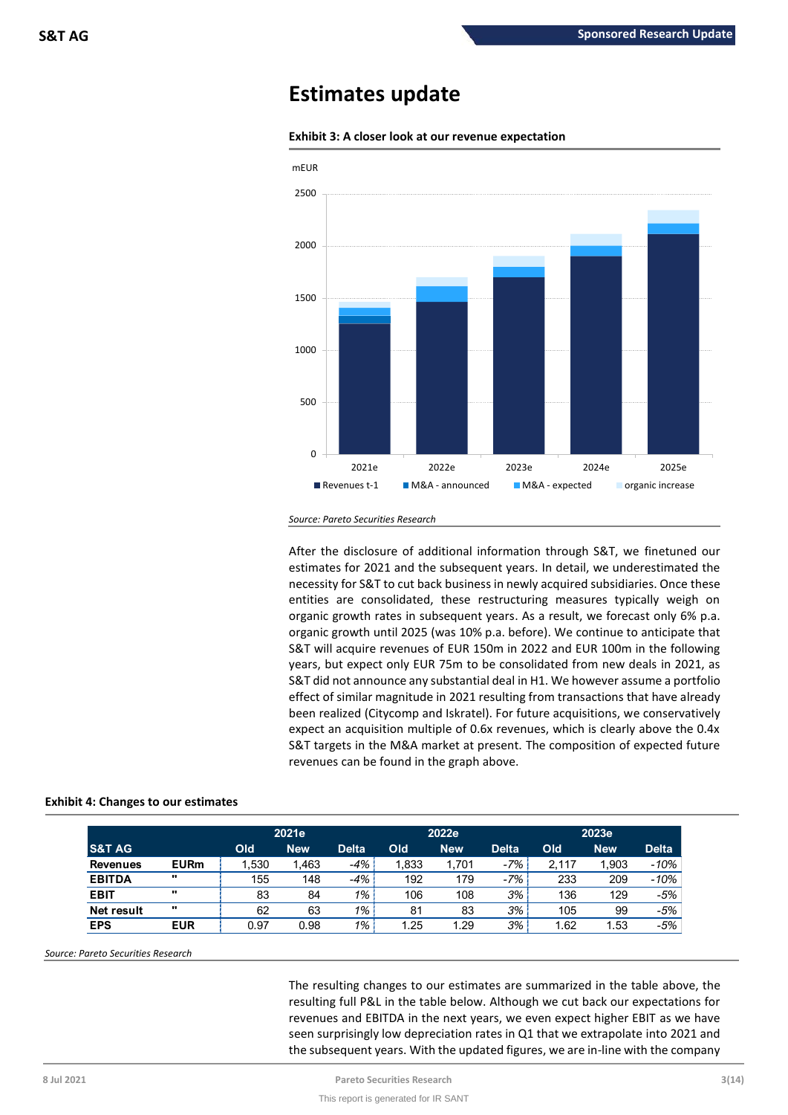## **Estimates update**



**Exhibit 3: A closer look at our revenue expectation**

After the disclosure of additional information through S&T, we finetuned our estimates for 2021 and the subsequent years. In detail, we underestimated the necessity for S&T to cut back business in newly acquired subsidiaries. Once these entities are consolidated, these restructuring measures typically weigh on organic growth rates in subsequent years. As a result, we forecast only 6% p.a. organic growth until 2025 (was 10% p.a. before). We continue to anticipate that S&T will acquire revenues of EUR 150m in 2022 and EUR 100m in the following years, but expect only EUR 75m to be consolidated from new deals in 2021, as S&T did not announce any substantial deal in H1. We however assume a portfolio effect of similar magnitude in 2021 resulting from transactions that have already been realized (Citycomp and Iskratel). For future acquisitions, we conservatively expect an acquisition multiple of 0.6x revenues, which is clearly above the 0.4x S&T targets in the M&A market at present. The composition of expected future revenues can be found in the graph above.

| 2021e             |             |       |            | 2022e        |       | 2023e      |              |       |            |              |
|-------------------|-------------|-------|------------|--------------|-------|------------|--------------|-------|------------|--------------|
| <b>S&amp;T AG</b> |             | Old   | <b>New</b> | <b>Delta</b> | Old   | <b>New</b> | <b>Delta</b> | Old   | <b>New</b> | <b>Delta</b> |
| <b>Revenues</b>   | <b>EURm</b> | 1.530 | 1,463      | -4%          | 1.833 | 1.701      | $-7%$        | 2,117 | 1,903      | $-10%$       |
| <b>EBITDA</b>     | $\cdots$    | 155   | 148        | -4%          | 192   | 179        | $-7%$        | 233   | 209        | $-10%$       |
| <b>EBIT</b>       | $\cdots$    | 83    | 84         | $1\%$ .      | 106   | 108        | 3%           | 136   | 129        | $-5%$        |
| Net result        | $\cdots$    | 62    | 63         | $1\%$        | 81    | 83         | 3%           | 105   | 99         | $-5%$        |
| <b>EPS</b>        | <b>EUR</b>  | 0.97  | 0.98       | $1\%$        | 1.25  | 1.29       | 3%           | 1.62  | 1.53       | $-5%$        |

## **Exhibit 4: Changes to our estimates**

*Source: Pareto Securities Research*

The resulting changes to our estimates are summarized in the table above, the resulting full P&L in the table below. Although we cut back our expectations for revenues and EBITDA in the next years, we even expect higher EBIT as we have seen surprisingly low depreciation rates in Q1 that we extrapolate into 2021 and the subsequent years. With the updated figures, we are in-line with the company

*Source: Pareto Securities Research*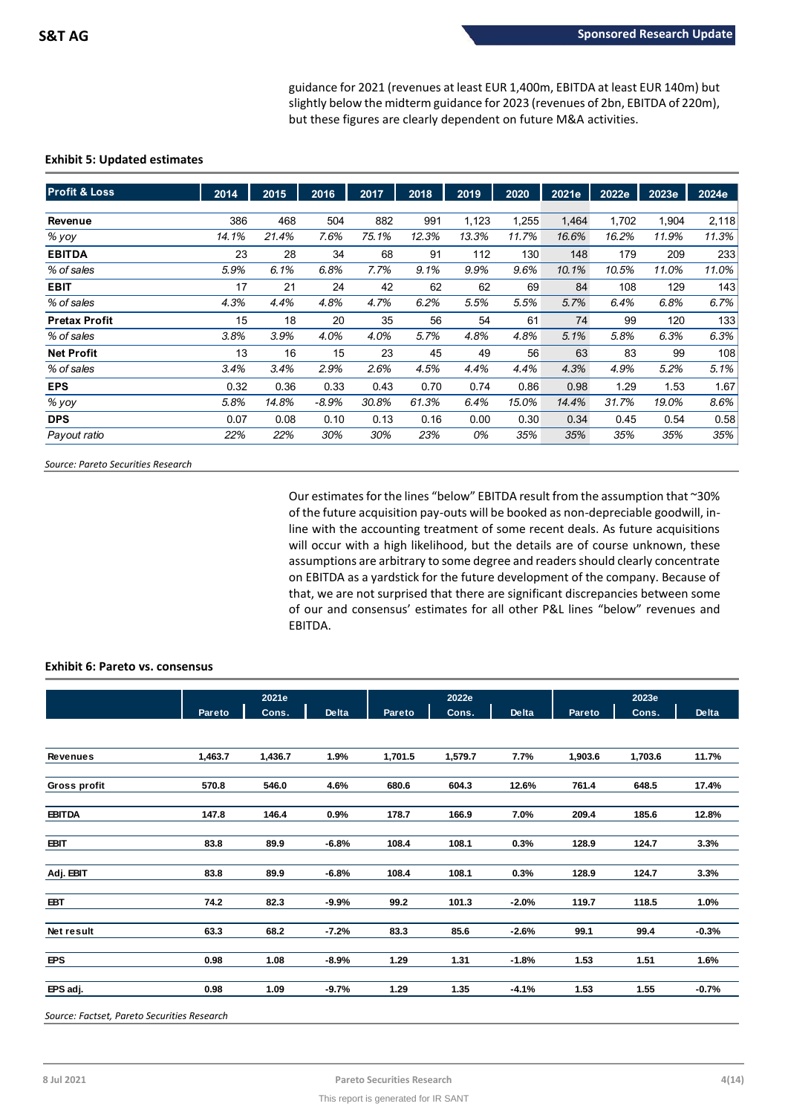guidance for 2021 (revenues at least EUR 1,400m, EBITDA at least EUR 140m) but slightly below the midterm guidance for 2023 (revenues of 2bn, EBITDA of 220m), but these figures are clearly dependent on future M&A activities.

## **Exhibit 5: Updated estimates**

| <b>Profit &amp; Loss</b> | 2014  | 2015  | 2016    | 2017  | 2018  | 2019  | 2020  | 2021e | 2022e | 2023e | 2024e |
|--------------------------|-------|-------|---------|-------|-------|-------|-------|-------|-------|-------|-------|
|                          |       |       |         |       |       |       |       |       |       |       |       |
| Revenue                  | 386   | 468   | 504     | 882   | 991   | 1,123 | 1,255 | 1,464 | 1,702 | 1,904 | 2,118 |
| % yoy                    | 14.1% | 21.4% | 7.6%    | 75.1% | 12.3% | 13.3% | 11.7% | 16.6% | 16.2% | 11.9% | 11.3% |
| <b>EBITDA</b>            | 23    | 28    | 34      | 68    | 91    | 112   | 130   | 148   | 179   | 209   | 233   |
| % of sales               | 5.9%  | 6.1%  | 6.8%    | 7.7%  | 9.1%  | 9.9%  | 9.6%  | 10.1% | 10.5% | 11.0% | 11.0% |
| <b>EBIT</b>              | 17    | 21    | 24      | 42    | 62    | 62    | 69    | 84    | 108   | 129   | 143   |
| % of sales               | 4.3%  | 4.4%  | 4.8%    | 4.7%  | 6.2%  | 5.5%  | 5.5%  | 5.7%  | 6.4%  | 6.8%  | 6.7%  |
| <b>Pretax Profit</b>     | 15    | 18    | 20      | 35    | 56    | 54    | 61    | 74    | 99    | 120   | 133   |
| % of sales               | 3.8%  | 3.9%  | 4.0%    | 4.0%  | 5.7%  | 4.8%  | 4.8%  | 5.1%  | 5.8%  | 6.3%  | 6.3%  |
| <b>Net Profit</b>        | 13    | 16    | 15      | 23    | 45    | 49    | 56    | 63    | 83    | 99    | 108   |
| % of sales               | 3.4%  | 3.4%  | 2.9%    | 2.6%  | 4.5%  | 4.4%  | 4.4%  | 4.3%  | 4.9%  | 5.2%  | 5.1%  |
| <b>EPS</b>               | 0.32  | 0.36  | 0.33    | 0.43  | 0.70  | 0.74  | 0.86  | 0.98  | 1.29  | 1.53  | 1.67  |
| % yoy                    | 5.8%  | 14.8% | $-8.9%$ | 30.8% | 61.3% | 6.4%  | 15.0% | 14.4% | 31.7% | 19.0% | 8.6%  |
| <b>DPS</b>               | 0.07  | 0.08  | 0.10    | 0.13  | 0.16  | 0.00  | 0.30  | 0.34  | 0.45  | 0.54  | 0.58  |
| Payout ratio             | 22%   | 22%   | 30%     | 30%   | 23%   | 0%    | 35%   | 35%   | 35%   | 35%   | 35%   |

*Source: Pareto Securities Research*

Our estimates for the lines "below" EBITDA result from the assumption that ~30% of the future acquisition pay-outs will be booked as non-depreciable goodwill, inline with the accounting treatment of some recent deals. As future acquisitions will occur with a high likelihood, but the details are of course unknown, these assumptions are arbitrary to some degree and readers should clearly concentrate on EBITDA as a yardstick for the future development of the company. Because of that, we are not surprised that there are significant discrepancies between some of our and consensus' estimates for all other P&L lines "below" revenues and EBITDA.

## **Exhibit 6: Pareto vs. consensus**

|                 | 2021e   |         |              |               | 2022e   |         | 2023e         |         |              |  |
|-----------------|---------|---------|--------------|---------------|---------|---------|---------------|---------|--------------|--|
|                 | Pareto  | Cons.   | <b>Delta</b> | <b>Pareto</b> | Cons.   | Delta   | <b>Pareto</b> | Cons.   | <b>Delta</b> |  |
|                 |         |         |              |               |         |         |               |         |              |  |
| <b>Revenues</b> | 1,463.7 | 1,436.7 | 1.9%         | 1,701.5       | 1,579.7 | 7.7%    | 1,903.6       | 1,703.6 | 11.7%        |  |
| Gross profit    | 570.8   | 546.0   | 4.6%         | 680.6         | 604.3   | 12.6%   | 761.4         | 648.5   | 17.4%        |  |
| <b>EBITDA</b>   | 147.8   | 146.4   | 0.9%         | 178.7         | 166.9   | 7.0%    | 209.4         | 185.6   | 12.8%        |  |
| <b>EBIT</b>     | 83.8    | 89.9    | $-6.8%$      | 108.4         | 108.1   | 0.3%    | 128.9         | 124.7   | 3.3%         |  |
| Adj. EBIT       | 83.8    | 89.9    | $-6.8%$      | 108.4         | 108.1   | 0.3%    | 128.9         | 124.7   | 3.3%         |  |
| <b>EBT</b>      | 74.2    | 82.3    | $-9.9%$      | 99.2          | 101.3   | $-2.0%$ | 119.7         | 118.5   | 1.0%         |  |
| Net result      | 63.3    | 68.2    | $-7.2%$      | 83.3          | 85.6    | $-2.6%$ | 99.1          | 99.4    | $-0.3%$      |  |
| <b>EPS</b>      | 0.98    | 1.08    | $-8.9%$      | 1.29          | 1.31    | $-1.8%$ | 1.53          | 1.51    | 1.6%         |  |
| EPS adj.        | 0.98    | 1.09    | $-9.7%$      | 1.29          | 1.35    | $-4.1%$ | 1.53          | 1.55    | $-0.7%$      |  |

*Source: Factset, Pareto Securities Research*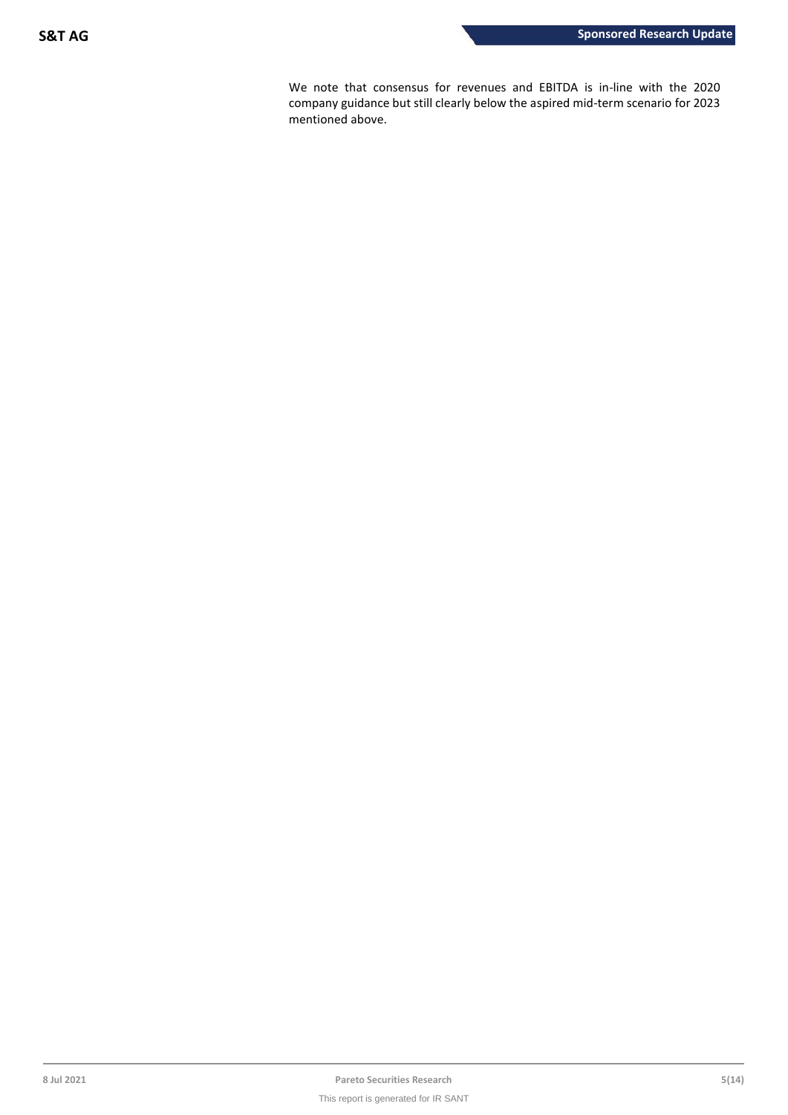We note that consensus for revenues and EBITDA is in-line with the 2020 company guidance but still clearly below the aspired mid-term scenario for 2023 mentioned above.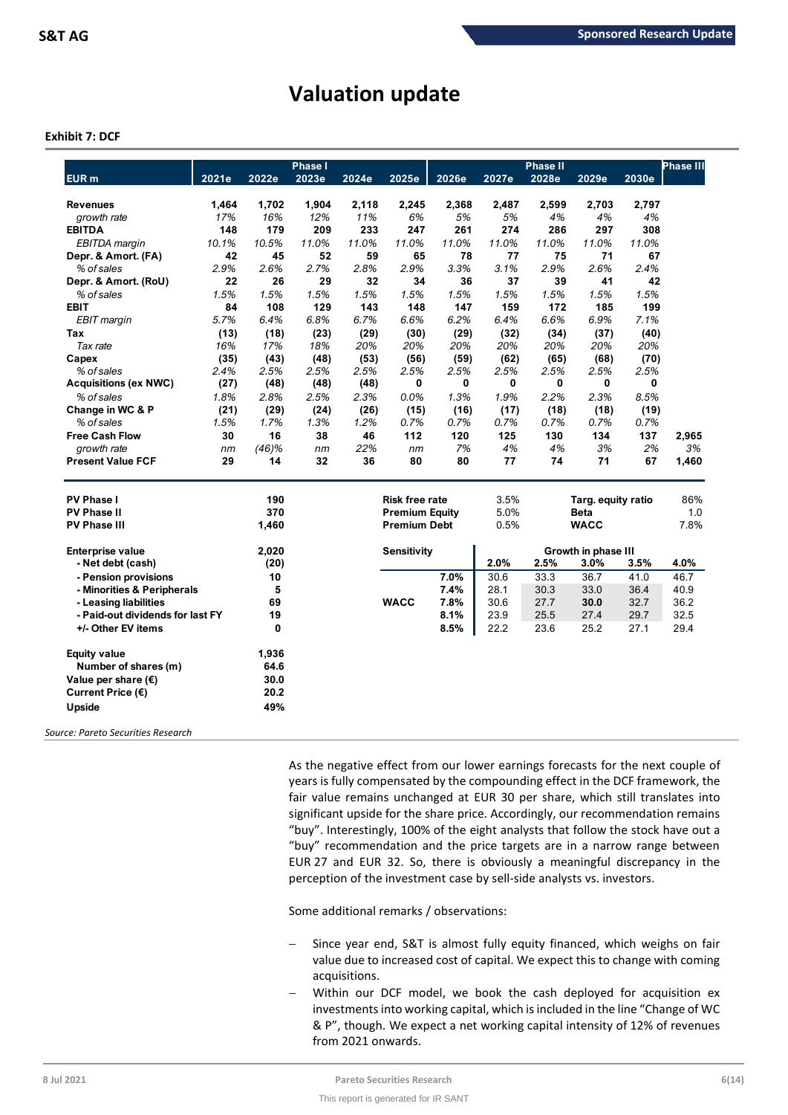# **Valuation update**

## **Exhibit 7: DCF**

| EUR <sub>m</sub>                 | 2021e | 2022e | <b>Phase I</b><br>2023e | 2024e | 2025e                 | 2026e | 2027e | <b>Phase II</b><br>2028e | 2029e               | 2030e | <b>Phase III</b> |
|----------------------------------|-------|-------|-------------------------|-------|-----------------------|-------|-------|--------------------------|---------------------|-------|------------------|
|                                  |       |       |                         |       |                       |       |       |                          |                     |       |                  |
| <b>Revenues</b>                  | 1,464 | 1,702 | 1,904                   | 2,118 | 2,245                 | 2,368 | 2,487 | 2,599                    | 2,703               | 2,797 |                  |
| growth rate                      | 17%   | 16%   | 12%                     | 11%   | 6%                    | 5%    | 5%    | 4%                       | 4%                  | 4%    |                  |
| <b>EBITDA</b>                    | 148   | 179   | 209                     | 233   | 247                   | 261   | 274   | 286                      | 297                 | 308   |                  |
| <b>EBITDA</b> margin             | 10.1% | 10.5% | 11.0%                   | 11.0% | 11.0%                 | 11.0% | 11.0% | 11.0%                    | 11.0%               | 11.0% |                  |
| Depr. & Amort. (FA)              | 42    | 45    | 52                      | 59    | 65                    | 78    | 77    | 75                       | 71                  | 67    |                  |
| % of sales                       | 2.9%  | 2.6%  | 2.7%                    | 2.8%  | 2.9%                  | 3.3%  | 3.1%  | 2.9%                     | 2.6%                | 2.4%  |                  |
| Depr. & Amort. (RoU)             | 22    | 26    | 29                      | 32    | 34                    | 36    | 37    | 39                       | 41                  | 42    |                  |
| % of sales                       | 1.5%  | 1.5%  | 1.5%                    | 1.5%  | 1.5%                  | 1.5%  | 1.5%  | 1.5%                     | 1.5%                | 1.5%  |                  |
| <b>EBIT</b>                      | 84    | 108   | 129                     | 143   | 148                   | 147   | 159   | 172                      | 185                 | 199   |                  |
| <b>EBIT</b> margin               | 5.7%  | 6.4%  | 6.8%                    | 6.7%  | 6.6%                  | 6.2%  | 6.4%  | 6.6%                     | 6.9%                | 7.1%  |                  |
| Tax                              | (13)  | (18)  | (23)                    | (29)  | (30)                  | (29)  | (32)  | (34)                     | (37)                | (40)  |                  |
| Tax rate                         | 16%   | 17%   | 18%                     | 20%   | 20%                   | 20%   | 20%   | 20%                      | 20%                 | 20%   |                  |
| Capex                            | (35)  | (43)  | (48)                    | (53)  | (56)                  | (59)  | (62)  | (65)                     | (68)                | (70)  |                  |
| % of sales                       | 2.4%  | 2.5%  | 2.5%                    | 2.5%  | 2.5%                  | 2.5%  | 2.5%  | 2.5%                     | 2.5%                | 2.5%  |                  |
| <b>Acquisitions (ex NWC)</b>     | (27)  | (48)  | (48)                    | (48)  | 0                     | 0     | 0     | 0                        | 0                   | 0     |                  |
| % of sales                       | 1.8%  | 2.8%  | 2.5%                    | 2.3%  | 0.0%                  | 1.3%  | 1.9%  | 2.2%                     | 2.3%                | 8.5%  |                  |
| Change in WC & P                 | (21)  | (29)  | (24)                    | (26)  | (15)                  | (16)  | (17)  | (18)                     | (18)                | (19)  |                  |
| % of sales                       | 1.5%  | 1.7%  | 1.3%                    | 1.2%  | 0.7%                  | 0.7%  | 0.7%  | 0.7%                     | 0.7%                | 0.7%  |                  |
| <b>Free Cash Flow</b>            | 30    | 16    | 38                      | 46    | 112                   | 120   | 125   | 130                      | 134                 | 137   | 2,965            |
| growth rate                      | nm    | (46)% | nm                      | 22%   | nm                    | 7%    | 4%    | 4%                       | 3%                  | 2%    | 3%               |
| <b>Present Value FCF</b>         | 29    | 14    | 32                      | 36    | 80                    | 80    | 77    | 74                       | 71                  | 67    | 1,460            |
| <b>PV Phase I</b>                |       | 190   |                         |       | <b>Risk free rate</b> |       | 3.5%  |                          | Targ. equity ratio  |       | 86%              |
| <b>PV Phase II</b>               |       | 370   |                         |       | <b>Premium Equity</b> |       | 5.0%  |                          | <b>Beta</b>         |       | 1.0              |
| <b>PV Phase III</b>              |       | 1,460 |                         |       | <b>Premium Debt</b>   |       | 0.5%  |                          | <b>WACC</b>         |       | 7.8%             |
|                                  |       |       |                         |       |                       |       |       |                          |                     |       |                  |
| <b>Enterprise value</b>          |       | 2,020 |                         |       | <b>Sensitivity</b>    |       |       |                          | Growth in phase III |       |                  |
| - Net debt (cash)                |       | (20)  |                         |       |                       |       | 2.0%  | 2.5%                     | 3.0%                | 3.5%  | 4.0%             |
| - Pension provisions             |       | 10    |                         |       |                       | 7.0%  | 30.6  | 33.3                     | 36.7                | 41.0  | 46.7             |
| - Minorities & Peripherals       |       | 5     |                         |       |                       | 7.4%  | 28.1  | 30.3                     | 33.0                | 36.4  | 40.9             |
| - Leasing liabilities            |       | 69    |                         |       | <b>WACC</b>           | 7.8%  | 30.6  | 27.7                     | 30.0                | 32.7  | 36.2             |
| - Paid-out dividends for last FY |       | 19    |                         |       |                       | 8.1%  | 23.9  | 25.5                     | 27.4                | 29.7  | 32.5             |
| +/- Other EV items               |       | 0     |                         |       |                       | 8.5%  | 22.2  | 23.6                     | 25.2                | 27.1  | 29.4             |
| <b>Equity value</b>              |       | 1,936 |                         |       |                       |       |       |                          |                     |       |                  |
| Number of shares (m)             |       | 64.6  |                         |       |                       |       |       |                          |                     |       |                  |
| Value per share $(\epsilon)$     |       | 30.0  |                         |       |                       |       |       |                          |                     |       |                  |
| Current Price (€)                |       | 20.2  |                         |       |                       |       |       |                          |                     |       |                  |
| Upside                           |       | 49%   |                         |       |                       |       |       |                          |                     |       |                  |
|                                  |       |       |                         |       |                       |       |       |                          |                     |       |                  |

*Source: Pareto Securities Research*

As the negative effect from our lower earnings forecasts for the next couple of years is fully compensated by the compounding effect in the DCF framework, the fair value remains unchanged at EUR 30 per share, which still translates into significant upside for the share price. Accordingly, our recommendation remains "buy". Interestingly, 100% of the eight analysts that follow the stock have out a "buy" recommendation and the price targets are in a narrow range between EUR 27 and EUR 32. So, there is obviously a meaningful discrepancy in the perception of the investment case by sell-side analysts vs. investors.

Some additional remarks / observations:

- Since year end, S&T is almost fully equity financed, which weighs on fair value due to increased cost of capital. We expect this to change with coming acquisitions.
- Within our DCF model, we book the cash deployed for acquisition ex investments into working capital, which is included in the line "Change of WC & P", though. We expect a net working capital intensity of 12% of revenues from 2021 onwards.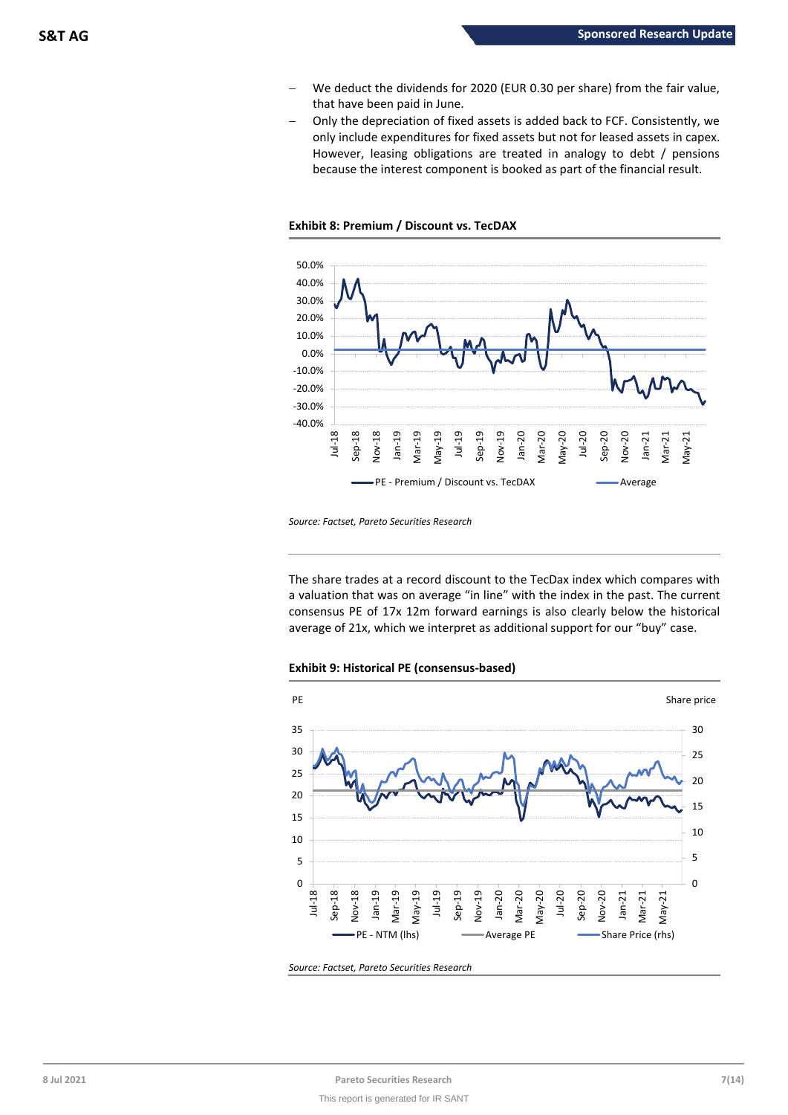- − We deduct the dividends for 2020 (EUR 0.30 per share) from the fair value, that have been paid in June.
- − Only the depreciation of fixed assets is added back to FCF. Consistently, we only include expenditures for fixed assets but not for leased assets in capex. However, leasing obligations are treated in analogy to debt / pensions because the interest component is booked as part of the financial result.





*Source: Factset, Pareto Securities Research*

The share trades at a record discount to the TecDax index which compares with a valuation that was on average "in line" with the index in the past. The current consensus PE of 17x 12m forward earnings is also clearly below the historical average of 21x, which we interpret as additional support for our "buy" case.





*Source: Factset, Pareto Securities Research*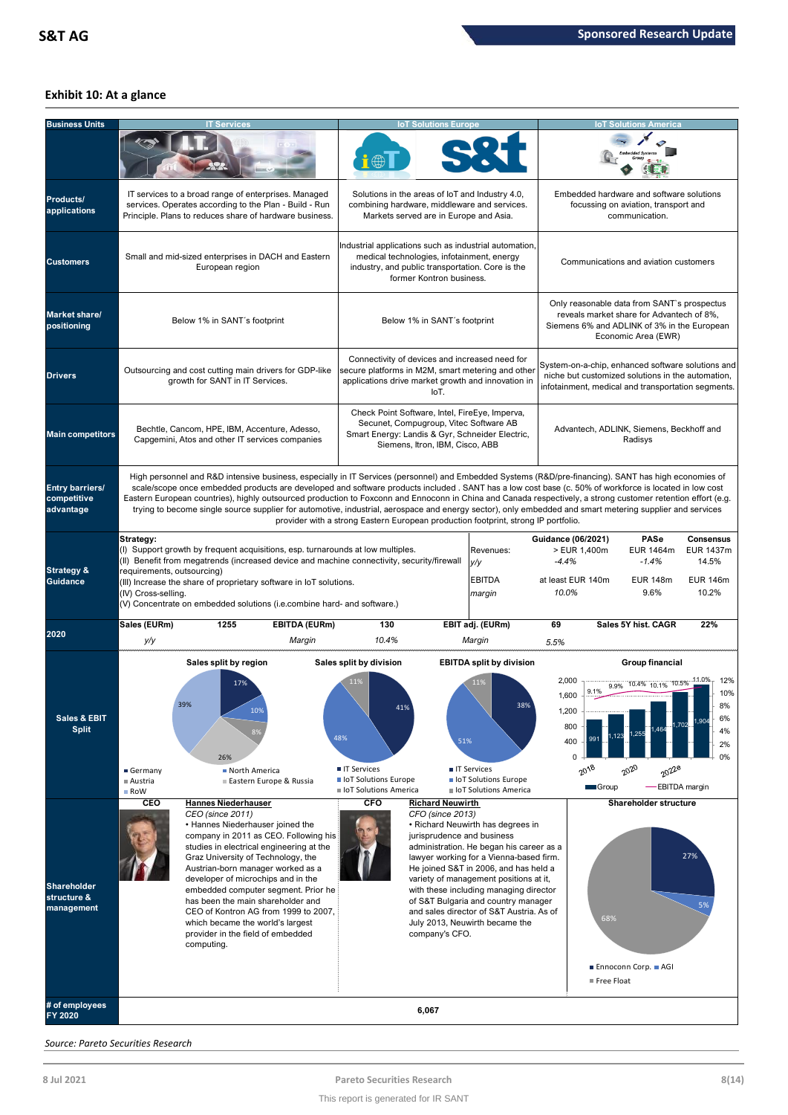## **Exhibit 10: At a glance**

| <b>Business Units</b>                              |                                                                                                                                                                                                                                                                                                                                                                                                                                                                                                                                                                                                                                                                                                                                   | <b>T</b> Services                                                                                                                                                                                                                                                                                                                                                                                                                                                                     |                                                                                                                                                                 | <b>IoT Solutions Europe</b>                                                                                                                                                    |                                                                                                                                                                                                                                                                                                                                                                            |                                                                                                                                                              | <b>IoT Solutions America</b>                                                                                                                                   |                                                           |  |  |
|----------------------------------------------------|-----------------------------------------------------------------------------------------------------------------------------------------------------------------------------------------------------------------------------------------------------------------------------------------------------------------------------------------------------------------------------------------------------------------------------------------------------------------------------------------------------------------------------------------------------------------------------------------------------------------------------------------------------------------------------------------------------------------------------------|---------------------------------------------------------------------------------------------------------------------------------------------------------------------------------------------------------------------------------------------------------------------------------------------------------------------------------------------------------------------------------------------------------------------------------------------------------------------------------------|-----------------------------------------------------------------------------------------------------------------------------------------------------------------|--------------------------------------------------------------------------------------------------------------------------------------------------------------------------------|----------------------------------------------------------------------------------------------------------------------------------------------------------------------------------------------------------------------------------------------------------------------------------------------------------------------------------------------------------------------------|--------------------------------------------------------------------------------------------------------------------------------------------------------------|----------------------------------------------------------------------------------------------------------------------------------------------------------------|-----------------------------------------------------------|--|--|
| Products/<br>applications                          |                                                                                                                                                                                                                                                                                                                                                                                                                                                                                                                                                                                                                                                                                                                                   | IT services to a broad range of enterprises. Managed<br>services. Operates according to the Plan - Build - Run<br>Principle. Plans to reduces share of hardware business.                                                                                                                                                                                                                                                                                                             |                                                                                                                                                                 | Solutions in the areas of loT and Industry 4.0,<br>combining hardware, middleware and services.<br>Markets served are in Europe and Asia.                                      |                                                                                                                                                                                                                                                                                                                                                                            |                                                                                                                                                              | Embedded hardware and software solutions<br>focussing on aviation, transport and<br>communication.                                                             |                                                           |  |  |
| <b>Customers</b>                                   |                                                                                                                                                                                                                                                                                                                                                                                                                                                                                                                                                                                                                                                                                                                                   | Small and mid-sized enterprises in DACH and Eastern<br>European region                                                                                                                                                                                                                                                                                                                                                                                                                |                                                                                                                                                                 | medical technologies, infotainment, energy<br>industry, and public transportation. Core is the<br>former Kontron business.                                                     | Industrial applications such as industrial automation,                                                                                                                                                                                                                                                                                                                     |                                                                                                                                                              | Communications and aviation customers                                                                                                                          |                                                           |  |  |
| Market share/<br>positioning                       |                                                                                                                                                                                                                                                                                                                                                                                                                                                                                                                                                                                                                                                                                                                                   | Below 1% in SANT's footprint                                                                                                                                                                                                                                                                                                                                                                                                                                                          |                                                                                                                                                                 | Below 1% in SANT's footprint                                                                                                                                                   |                                                                                                                                                                                                                                                                                                                                                                            |                                                                                                                                                              | Only reasonable data from SANT's prospectus<br>reveals market share for Advantech of 8%,<br>Siemens 6% and ADLINK of 3% in the European<br>Economic Area (EWR) |                                                           |  |  |
| <b>Drivers</b>                                     |                                                                                                                                                                                                                                                                                                                                                                                                                                                                                                                                                                                                                                                                                                                                   | Outsourcing and cost cutting main drivers for GDP-like<br>growth for SANT in IT Services.                                                                                                                                                                                                                                                                                                                                                                                             |                                                                                                                                                                 | Connectivity of devices and increased need for<br>applications drive market growth and innovation in<br>IoT.                                                                   | secure platforms in M2M, smart metering and other                                                                                                                                                                                                                                                                                                                          | System-on-a-chip, enhanced software solutions and<br>niche but customized solutions in the automation,<br>infotainment, medical and transportation segments. |                                                                                                                                                                |                                                           |  |  |
| <b>Main competitors</b>                            |                                                                                                                                                                                                                                                                                                                                                                                                                                                                                                                                                                                                                                                                                                                                   | Bechtle, Cancom, HPE, IBM, Accenture, Adesso,<br>Capgemini, Atos and other IT services companies                                                                                                                                                                                                                                                                                                                                                                                      |                                                                                                                                                                 | Check Point Software, Intel, FireEye, Imperva,<br>Secunet, Compugroup, Vitec Software AB<br>Smart Energy: Landis & Gyr, Schneider Electric,<br>Siemens, Itron, IBM, Cisco, ABB |                                                                                                                                                                                                                                                                                                                                                                            |                                                                                                                                                              | Advantech, ADLINK, Siemens, Beckhoff and<br>Radisys                                                                                                            |                                                           |  |  |
| <b>Entry barriers/</b><br>competitive<br>advantage | High personnel and R&D intensive business, especially in IT Services (personnel) and Embedded Systems (R&D/pre-financing). SANT has high economies of<br>scale/scope once embedded products are developed and software products included . SANT has a low cost base (c. 50% of workforce is located in low cost<br>Eastern European countries), highly outsourced production to Foxconn and Ennoconn in China and Canada respectively, a strong customer retention effort (e.g.<br>trying to become single source supplier for automotive, industrial, aerospace and energy sector), only embedded and smart metering supplier and services<br>provider with a strong Eastern European production footprint, strong IP portfolio. |                                                                                                                                                                                                                                                                                                                                                                                                                                                                                       |                                                                                                                                                                 |                                                                                                                                                                                |                                                                                                                                                                                                                                                                                                                                                                            |                                                                                                                                                              |                                                                                                                                                                |                                                           |  |  |
| <b>Strategy &amp;</b><br><b>Guidance</b>           | Strategy:<br>(I) Support growth by frequent acquisitions, esp. turnarounds at low multiples.<br>requirements, outsourcing)<br>(III) Increase the share of proprietary software in IoT solutions.<br>(IV) Cross-selling.<br>(V) Concentrate on embedded solutions (i.e.combine hard- and software.)                                                                                                                                                                                                                                                                                                                                                                                                                                |                                                                                                                                                                                                                                                                                                                                                                                                                                                                                       | Guidance (06/2021)<br>Revenues:<br>(II) Benefit from megatrends (increased device and machine connectivity, security/firewall<br>y/y<br><b>EBITDA</b><br>margin |                                                                                                                                                                                |                                                                                                                                                                                                                                                                                                                                                                            | PASe<br>EUR 1464m<br>$-1.4%$<br><b>EUR 148m</b><br>9.6%                                                                                                      | <b>Consensus</b><br>EUR 1437m<br>14.5%<br><b>EUR 146m</b><br>10.2%                                                                                             |                                                           |  |  |
| 2020                                               | Sales (EURm)<br>y/y                                                                                                                                                                                                                                                                                                                                                                                                                                                                                                                                                                                                                                                                                                               | <b>EBITDA (EURm)</b><br>1255<br>Margin                                                                                                                                                                                                                                                                                                                                                                                                                                                | 130<br>10.4%                                                                                                                                                    |                                                                                                                                                                                | EBIT adj. (EURm)<br>Margin                                                                                                                                                                                                                                                                                                                                                 | 69<br>5.5%                                                                                                                                                   | Sales 5Y hist. CAGR                                                                                                                                            | 22%                                                       |  |  |
| Sales & EBIT<br><b>Split</b>                       | Germany<br>Austria<br>■ RoW                                                                                                                                                                                                                                                                                                                                                                                                                                                                                                                                                                                                                                                                                                       | Sales split by region<br>17%<br>10%<br>26%<br>North America<br>Eastern Europe & Russia                                                                                                                                                                                                                                                                                                                                                                                                | Sales split by division<br>11%<br>41<br>48%<br><b>TI</b> Services<br>loT Solutions Europe<br>loT Solutions America                                              | 51%                                                                                                                                                                            | <b>EBITDA split by division</b><br>11%<br><b>IT Services</b><br>loT Solutions Europe<br>loT Solutions America                                                                                                                                                                                                                                                              | 2,000<br>9.1%<br>1,600<br>1,200<br>800<br>400<br>$\mathbf 0$<br>$20^{18}$<br>Group                                                                           | Group financial<br>9.9% 10.4% 10.1% 10.5%<br>$20^{20}$<br>2022e<br>-EBITDA margin                                                                              | 11.0%<br>12%<br>10%<br>O70<br>6%<br>702<br>4%<br>2%<br>0% |  |  |
| Shareholder<br>structure &<br>management           | CEO<br>computing.                                                                                                                                                                                                                                                                                                                                                                                                                                                                                                                                                                                                                                                                                                                 | <b>Hannes Niederhauser</b><br>CEO (since 2011)<br>• Hannes Niederhauser joined the<br>company in 2011 as CEO. Following his<br>studies in electrical engineering at the<br>Graz University of Technology, the<br>Austrian-born manager worked as a<br>developer of microchips and in the<br>embedded computer segment. Prior he<br>has been the main shareholder and<br>CEO of Kontron AG from 1999 to 2007,<br>which became the world's largest<br>provider in the field of embedded | <b>CFO</b>                                                                                                                                                      | <b>Richard Neuwirth</b><br>CFO (since 2013)<br>jurisprudence and business<br>company's CFO.                                                                                    | • Richard Neuwirth has degrees in<br>administration. He began his career as a<br>lawyer working for a Vienna-based firm.<br>He joined S&T in 2006, and has held a<br>variety of management positions at it,<br>with these including managing director<br>of S&T Bulgaria and country manager<br>and sales director of S&T Austria. As of<br>July 2013, Neuwirth became the | 68%<br>Free Float                                                                                                                                            | Shareholder structure<br>■ Ennoconn Corp. ■ AGI                                                                                                                | 27%<br>5%                                                 |  |  |
| # of employees<br>FY 2020                          |                                                                                                                                                                                                                                                                                                                                                                                                                                                                                                                                                                                                                                                                                                                                   |                                                                                                                                                                                                                                                                                                                                                                                                                                                                                       |                                                                                                                                                                 | 6,067                                                                                                                                                                          |                                                                                                                                                                                                                                                                                                                                                                            |                                                                                                                                                              |                                                                                                                                                                |                                                           |  |  |

*Source: Pareto Securities Research*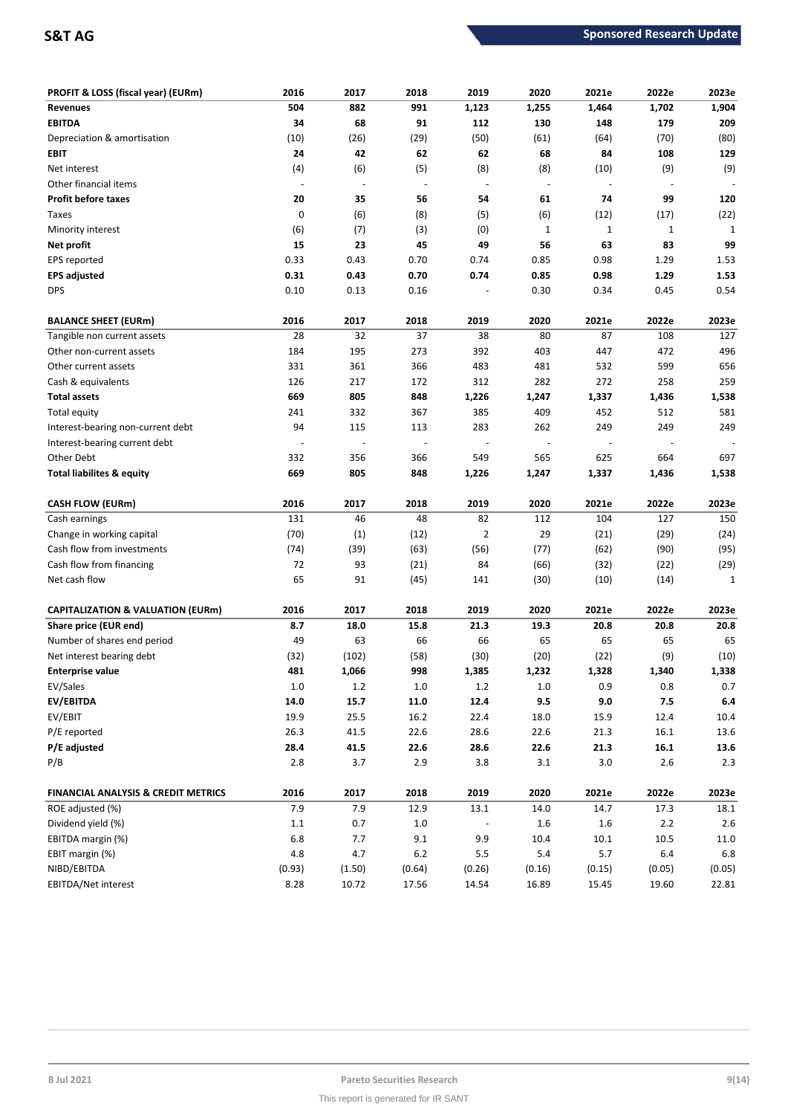| PROFIT & LOSS (fiscal year) (EURm)             | 2016    | 2017    | 2018                     | 2019                     | 2020    | 2021e        | 2022e                    | 2023e   |
|------------------------------------------------|---------|---------|--------------------------|--------------------------|---------|--------------|--------------------------|---------|
| <b>Revenues</b>                                | 504     | 882     | 991                      | 1,123                    | 1,255   | 1,464        | 1,702                    | 1,904   |
| <b>EBITDA</b>                                  | 34      | 68      | 91                       | 112                      | 130     | 148          | 179                      | 209     |
| Depreciation & amortisation                    | (10)    | (26)    | (29)                     | (50)                     | (61)    | (64)         | (70)                     | (80)    |
| EBIT                                           | 24      | 42      | 62                       | 62                       | 68      | 84           | 108                      | 129     |
| Net interest                                   | (4)     | (6)     | (5)                      | (8)                      | (8)     | (10)         | (9)                      | (9)     |
| Other financial items                          |         |         | $\overline{\phantom{a}}$ | $\overline{\phantom{a}}$ |         |              |                          |         |
| <b>Profit before taxes</b>                     | 20      | 35      | 56                       | 54                       | 61      | 74           | 99                       | 120     |
| Taxes                                          | 0       | (6)     | (8)                      | (5)                      | (6)     | (12)         | (17)                     | (22)    |
| Minority interest                              | (6)     | (7)     | (3)                      | (0)                      | 1       | $\mathbf{1}$ | $\mathbf 1$              | 1       |
| Net profit                                     | 15      | 23      | 45                       | 49                       | 56      | 63           | 83                       | 99      |
| EPS reported                                   | 0.33    | 0.43    | 0.70                     | 0.74                     | 0.85    | 0.98         | 1.29                     | 1.53    |
| <b>EPS adjusted</b>                            | 0.31    | 0.43    | 0.70                     | 0.74                     | 0.85    | 0.98         | 1.29                     | 1.53    |
| <b>DPS</b>                                     | 0.10    | 0.13    | 0.16                     |                          | 0.30    | 0.34         | 0.45                     | 0.54    |
| <b>BALANCE SHEET (EURm)</b>                    | 2016    | 2017    | 2018                     | 2019                     | 2020    | 2021e        | 2022e                    | 2023e   |
| Tangible non current assets                    | 28      | 32      | 37                       | 38                       | 80      | 87           | 108                      | 127     |
| Other non-current assets                       | 184     | 195     | 273                      | 392                      | 403     | 447          | 472                      | 496     |
| Other current assets                           | 331     | 361     | 366                      | 483                      | 481     | 532          | 599                      | 656     |
| Cash & equivalents                             | 126     | 217     | 172                      | 312                      | 282     | 272          | 258                      | 259     |
| <b>Total assets</b>                            | 669     | 805     | 848                      | 1,226                    | 1,247   | 1,337        | 1,436                    | 1,538   |
| Total equity                                   | 241     | 332     | 367                      | 385                      | 409     | 452          | 512                      | 581     |
| Interest-bearing non-current debt              | 94      | 115     | 113                      | 283                      | 262     | 249          | 249                      | 249     |
| Interest-bearing current debt                  |         |         | $\overline{\phantom{a}}$ | $\overline{\phantom{a}}$ |         |              | $\overline{\phantom{m}}$ |         |
| Other Debt                                     | 332     | 356     | 366                      | 549                      | 565     | 625          | 664                      | 697     |
| <b>Total liabilites &amp; equity</b>           | 669     | 805     | 848                      | 1,226                    | 1,247   | 1,337        | 1,436                    | 1,538   |
| <b>CASH FLOW (EURm)</b>                        | 2016    | 2017    | 2018                     | 2019                     | 2020    | 2021e        | 2022e                    | 2023e   |
| Cash earnings                                  | 131     | 46      | 48                       | 82                       | 112     | 104          | 127                      | 150     |
| Change in working capital                      | (70)    | (1)     | (12)                     | $\overline{2}$           | 29      | (21)         | (29)                     | (24)    |
| Cash flow from investments                     | (74)    | (39)    | (63)                     | (56)                     | (77)    | (62)         | (90)                     | (95)    |
| Cash flow from financing                       | 72      | 93      | (21)                     | 84                       | (66)    | (32)         | (22)                     | (29)    |
| Net cash flow                                  | 65      | 91      | (45)                     | 141                      | (30)    | (10)         | (14)                     | 1       |
| <b>CAPITALIZATION &amp; VALUATION (EURm)</b>   | 2016    | 2017    | 2018                     | 2019                     | 2020    | 2021e        | 2022e                    | 2023e   |
| Share price (EUR end)                          | 8.7     | 18.0    | 15.8                     | 21.3                     | 19.3    | 20.8         | 20.8                     | 20.8    |
| Number of shares end period                    | 49      | 63      | 66                       | 66                       | 65      | 65           | 65                       | 65      |
| Net interest bearing debt                      | (32)    | (102)   | (58)                     | (30)                     | (20)    | (22)         | (9)                      | (10)    |
| <b>Enterprise value</b>                        | 481     | 1,066   | 998                      | 1,385                    | 1,232   | 1,328        | 1,340                    | 1,338   |
| EV/Sales                                       | 1.0     | $1.2\,$ | 1.0                      | 1.2                      | $1.0\,$ | 0.9          | 0.8                      | 0.7     |
| EV/EBITDA                                      | 14.0    | 15.7    | 11.0                     | 12.4                     | 9.5     | $9.0\,$      | 7.5                      | 6.4     |
| EV/EBIT                                        | 19.9    | 25.5    | 16.2                     | 22.4                     | 18.0    | 15.9         | 12.4                     | 10.4    |
| P/E reported                                   | 26.3    | 41.5    | 22.6                     | 28.6                     | 22.6    | 21.3         | 16.1                     | 13.6    |
| P/E adjusted                                   | 28.4    | 41.5    | 22.6                     | 28.6                     | 22.6    | 21.3         | 16.1                     | 13.6    |
| P/B                                            | 2.8     | 3.7     | 2.9                      | 3.8                      | 3.1     | $3.0\,$      | 2.6                      | 2.3     |
| <b>FINANCIAL ANALYSIS &amp; CREDIT METRICS</b> | 2016    | 2017    | 2018                     | 2019                     | 2020    | 2021e        | 2022e                    | 2023e   |
| ROE adjusted (%)                               | 7.9     | 7.9     | 12.9                     | 13.1                     | 14.0    | 14.7         | 17.3                     | 18.1    |
| Dividend yield (%)                             | $1.1\,$ | $0.7\,$ | $1.0\,$                  |                          | 1.6     | 1.6          | 2.2                      | 2.6     |
| EBITDA margin (%)                              | $6.8\,$ | 7.7     | 9.1                      | 9.9                      | 10.4    | 10.1         | 10.5                     | 11.0    |
| EBIT margin (%)                                | 4.8     | 4.7     | $6.2\,$                  | 5.5                      | 5.4     | 5.7          | 6.4                      | $6.8\,$ |
| NIBD/EBITDA                                    | (0.93)  | (1.50)  | (0.64)                   | (0.26)                   | (0.16)  | (0.15)       | (0.05)                   | (0.05)  |
| EBITDA/Net interest                            | 8.28    | 10.72   | 17.56                    | 14.54                    | 16.89   | 15.45        | 19.60                    | 22.81   |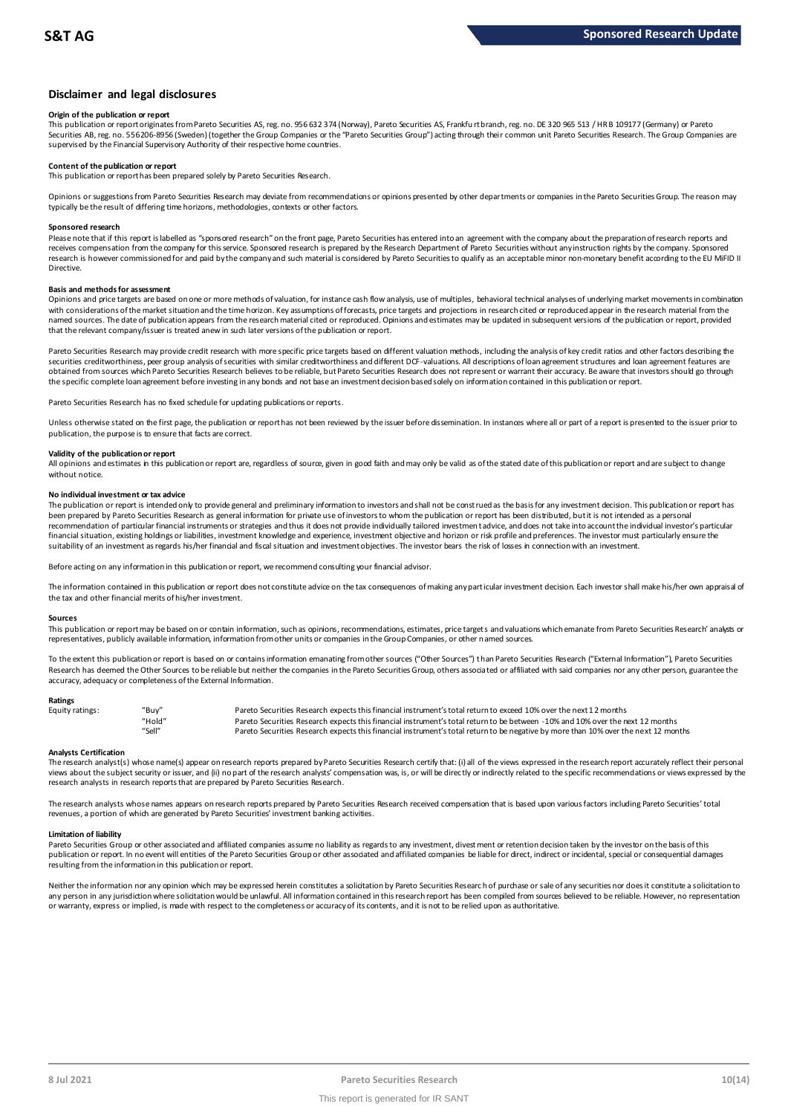## **Disclaimer and legal disclosures**

#### **Origin of the publication or report**

This publication or report originates from Pareto Securities AS, reg. no. 956 632 374 (Norway), Pareto Securities AS, Frankfu rt branch, reg. no. DE 320 965 513 / HR B 109177 (Germany) or Pareto Securities AB, reg. no. 556206-8956 (Sweden) (together the Group Companies or the "Pareto Securities Group") acting through their common unit Pareto Securities Research. The Group Companies are supervised by the Financial Supervisory Authority of their respective home countries.

#### **Content of the publication or report**

This publication or report has been prepared solely by Pareto Securities Research.

Opinions or suggestions from Pareto Securities Research may deviate from recommendations or opinions presented by other departments or companies in the Pareto Securities Group. The reason may typically be the result of differing time horizons, methodologies, contexts or other factors.

#### **Sponsored research**

Please note that if this report is labelled as "sponsored research" on the front page, Pareto Securities has entered into an agreement with the company about the preparation of research reports and receives compensation from the company for this service. Sponsored research is prepared by the Research Department of Pareto Securities without any instruction rights by the company. Sponsored research is however commissioned for and paid by the company and such material is considered by Pareto Securities to qualify as an acceptable minor non-monetary benefit according to the EU MiFID II Directive.

## **Basis and methods for assessment**

Opinions and price targets are based on one or more methods of valuation, for instance cash flow analysis, use of multiples, behavioral technical analyses of underlying market movements in combination with considerations of the market situation and the time horizon. Key assumptions of forecasts, price targets and projections in research cited or reproduced appear in the research material from the named sources. The date of publication appears from the research material cited or reproduced. Opinions and estimates may be updated in subsequent versions of the publication or report, provided that the relevant company/issuer is treated anew in such later versions of the publication or report.

Pareto Securities Research may provide credit research with more specific price targets based on different valuation methods, including the analysis of key credit ratios and other factors describing the securities creditworthiness, peer group analysis of securities with similar creditworthiness and different DCF-valuations. All descriptions of loan agreement structures and loan agreement features are obtained from sources which Pareto Securities Research believes to be reliable, but Pareto Securities Research does not represent or warrant their accuracy. Be aware that investors should go through the specific complete loan agreement before investing in any bonds and not base an investment decision based solely on information contained in this publication or report.

Pareto Securities Research has no fixed schedule for updating publications or reports.

Unless otherwise stated on the first page, the publication or report has not been reviewed by the issuer before dissemination. In instances where all or part of a report is presented to the issuer prior to publication, the purpose is to ensure that facts are correct.

#### **Validity of the publication or report**

All opinions and estimates in this publication or report are, regardless of source, given in good faith and may only be valid as of the stated date of this publication or report and are subject to change without notice.

#### **No individual investment or tax advice**

The publication or report is intended only to provide general and preliminary information to investors and shall not be construed as the basis for any investment decision. This publication or report has been prepared by Pareto Securities Research as general information for private use of investors to whom the publication or report has been distributed, but it is not intended as a personal recommendation of partiɑɪlar financial instruments or strategies and thus it does not provide individually tailored investmen tadvice, and does not take into account the individual investor's particular<br>financial situation suitability of an investment as regards his/her financial and fiscal situation and investment objectives. The investor bears the risk of losses in connection with an investment.

Before acting on any information in this publication or report, we recommend consulting your financial advisor.

The information contained in this publication or report does not constitute advice on the tax consequences of making any particular investment decision. Each investor shall make his/her own appraisal of the tax and other financial merits of his/her investment.

#### **Sources**

This publication or report may be based on or contain information, such as opinions, recommendations, estimates, price targets and valuations which emanate from Pareto Securities Research' analysts or representatives, publicly available information, information from other units or companies in the Group Companies, or other named sources.

To the extent this publication or report is based on or contains information emanating from other sources ("Other Sources") than Pareto Securities Research ("External Information"), Pareto Securities Research has deemed the Other Sources to be reliable but neither the companies in the Pareto Securities Group, others associated or affiliated with said companies nor any other person, guarantee the accuracy, adequacy or completeness of the External Information.

#### **Ratings**

| Equity ratings: | "Buv"  | Pareto Securities Research expects this financial instrument's total return to exceed 10% over the next 12 months                   |
|-----------------|--------|-------------------------------------------------------------------------------------------------------------------------------------|
|                 | "Hold" | Pareto Securities Research expects this financial instrument's total return to be between -10% and 10% over the next 12 months      |
|                 | "Sell" | Pareto Securities Research expects this financial instrument's total return to be negative by more than 10% over the next 12 months |

Analysts Certification<br>The research analyst(s) whose name(s) appear on research reports prepared by Pareto Securities Research certify that: (i) all of the views expressed in the research report accurately reflect their pe "Hold" Pareto Securities Research expects this financial instrument's total return to be between -1.0% and 10% over the next 12 months<br>"Sell" Pareto Securities Research expects this financial instrument's total return to b research analysts in research reports that are prepared by Pareto Securities Research.

The research analysts whose names appears on research reports prepared by Pareto Securities Research received compensation that is based upon various factors including Pareto Securities' total revenues, a portion of which are generated by Pareto Securities' investment banking activities.

#### **Limitation of liability**

Pareto Securities Group or other associated and affiliated companies assume no liability as regards to any investment, divest ment or retention decision taken by the investor on the basis of this publication or report. In no event will entities of the Pareto Securities Group or other associated and affiliated companies be liable for direct, indirect or incidental, special or consequential damages resulting from the information in this publication or report.

Neither the information nor any opinion which may be expressed herein constitutes a soligitation by Pareto Securities Research of purchase or sale of any securities nor does it constitute a soligitation to any person in any jurisdiction where solicitation would be unlawful. All information contained in this research report has been compiled from sources believed to be reliable. However, no representation or warranty, express or implied, is made with respect to the completeness or accuracy of its contents, and it is not to be relied upon as authoritative.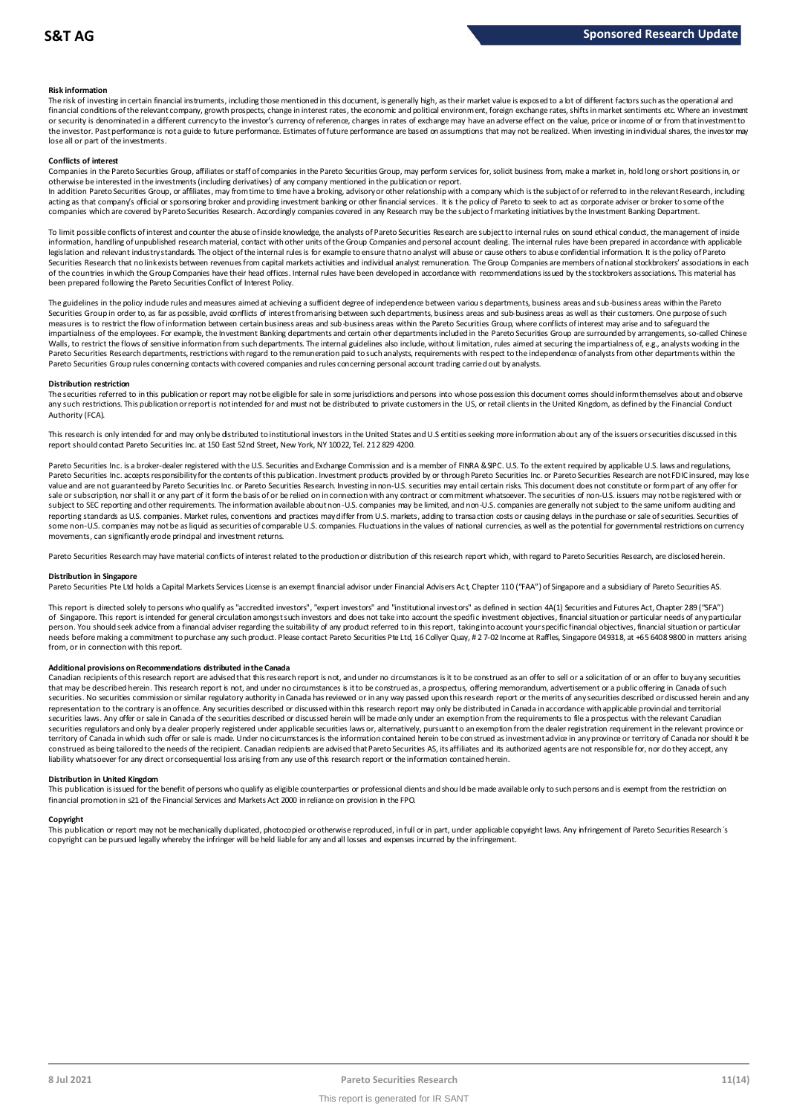### **Risk information**

The risk of investing in certain financial instruments, including those mentioned in this document, is generally high, as their market value is exposed to a lot of different factors such as the operational and financial conditions of the relevant company, growth prospects, change in interest rates, the economic and political environment, foreign exchange rates, shifts in market sentiments etc. Where an investment met.<br>or securit the investor. Past performance is not a guide to future performance. Estimates of future performance are based on assumptions that may not be realized. When investing in individual shares, the investor may lose all or part of the investments.

#### **Conflicts of interest**

Companies in the Pareto Securities Group, affiliates or staff of companies in the Pareto Securities Group, may perform services for, solicit business from, make a market in, hold long or short positions in, or otherwise be interested in the investments (including derivatives) of any company mentioned in the publication or report.

In addition Pareto Securities Group, or affiliates, may from time to time have a broking, advisory or other relationship with a company which is the subject of or referred to in the relevant Research, including acting as that company's official or sponsoring broker and providing investment banking or other financial services. It is the policy of Pareto to seek to act as corporate adviser or broker to some of the<br>companies which a

To limit possible conflicts of interest and counter the abuse of inside knowledge, the analysts of Pareto Securities Research are subject to internal rules on sound ethical conduct, the management of inside<br>information, ha legislation and relevant industry standards. The object of the internal rules is for example to ensure that no analyst will abuse or cause others to abuse confidential information. It is the policy of Pareto Securities Research that no link exists between revenues from capital markets activities and individual analyst remuneration. The Group Companies are members of national stockbrokers' associations in each of the countries in which the Group Companies have their head offices. Internal rules have been developed in accordance with recommendations issued by the stockbrokers associations. This material has been prepared following the Pareto Securities Conflict of Interest Policy.

The guidelines in the policy indude rules and measures aimed at achieving a sufficient degree of independence between various departments, business areas and sub-business areas within the Pareto<br>Securities Group in order t measures is to restrict the flow of information between certain business areas and sub-business areas within the Pareto Securities Group, where conflicts of interest may arise and to safeguard the impartialness of the empl The guidelines in the policy indude rules and measures aimed at achieving a sufficient degree of independence between various departments, business areas and sub-business areas within the Pareto<br>Securities Group in order t Walls, to restrict the flows of sensitive information from such departments. The internal guidelines also include, without limitation, rules aimed at securing the impartialness of, e.g., analysts working in the<br>Pareto Secu Pareto Securities Group rules concerning contacts with covered companies and rules concerning personal account trading carried out by analysts.

#### **Distribution restriction**

The securities referred to in this publication or report may not be eligible for sale in some jurisdictions and persons into whose possession this document comes should inform themselves about and observe Pareto Securities Group rules concerning contacts with covered companies and rules concerning personal account trading carried out by analysts.<br>Distribution restriction<br>The securities referred to in this publication or rep Authority (FCA).

This research is only intended for and may only be distributed to institutional investors in the United States and U.S entities seeking more information about any of the issuers or securities discussed in this report should contact Pareto Securities Inc. at 150 East 52nd Street, New York, NY 10022, Tel. 212 829 4200.

Pareto Securities Inc. is a broker-dealer registered with the U.S. Securities and Exchange Commission and is a member of FINRA & SIPC. U.S. To the extent required by applicable U.S. laws and regulations, Pareto Securities Inc. accepts responsibility for the contents of this publication. Investment products provided by or through Pareto Securities Inc. or Pareto Securities Research are not FDIC insured, may lose value and are not guaranteed by Pareto Securities Inc. or Pareto Securities Research. Investing in non-U.S. securities may entail certain risks. This document does not constitute or form part of any offer for sale or subscription, nor shall it or any part of it form the basis of or be relied on in connection with any contract or commitment whatsoever. The securities of non-U.S. issuers may not be registered with or subject to SEC reporting and other requirements. The information available about non-U.S. companies may be limited, and non-U.S. companies are generally not subject to the same uniform auditing and reporting standards as U.S. companies. Market rules, conventions and practices may differ from U.S. markets, adding to transaction costs or causing delays in the purchase or sale of securities. Securities of some non-U.S. companies may not be as liquid as securities of comparable U.S. companies. Fluctuations in the values of national currencies, as well as the potential for governmental restrictions on currency movements, can significantly erode principal and investment returns.

Pareto Securities Research may have material conflicts of interest related to the production or distribution of this research report which, with regard to Pareto Securities Research, are disclosed herein.

#### **Distribution in Singapore**

Pareto Securities Pte Ltd holds a Capital Markets Services License is an exempt financial advisor under Financial Advisers Act, Chapter 110 ("FAA") of Singapore and a subsidiary of Pareto Securities AS.

This report is directed solely to persons who qualify as "accredited investors", "expert investors" and "institutional investors" as defined in section 4A(1) Securities and Futures Act, Chapter 289 ("SFA") Distribution in Singapore<br>Pareto Securities Pte Ltd holds a Capital Markets Services License is an exempt financial advisor under Financial Advisers Act, Chapter 110 ("FAA") of Singapore and a subsidiary of Pareto Securiti person. You should seek advice from a financial adviser regarding the suitability of any product referred to in this report, taking into account your specific financial objectives, financial situation or particular needs before making a commitment to purchase any such product. Please contact Pareto Securities Pte Ltd, 16 Collyer Quay, # 2 7-02 Income at Raffles, Singapore 049318, at +65 6408 9800 in matters arising from, or in connection with this report.

#### **Additional provisions on Recommendations distributed in the Canada**

needs before making a commitment to purchase any such product. Please contact Pareto Securities Pte Ltd, 16 Collyer Quay, # 2 7-02 Income at Raffles, Singapore 049318, at +65 6408 9800 in matters arisin<br>from, or in connect from, or in connection with this report.<br>Additional provisions on Recommendations distributed in the Canada<br>Canadian recipients of this research report are advised that this research report is not, and under no circumstanc securities. No securities commission or similar regulatory authority in Canada has reviewed or in any way passed upon this research report or the merits of any securities described or discussed herein and any representation to the contrary is an offence. Any securities described or discussed within this research report may only be distributed in Canada in accordance with applicable provincial and territorial securities laws. Any offer or sale in Canada of the securities described or discussed herein will be made only under an exemption from the requirements to file a prospectus with the relevant Canadian securities regulators and only by a dealer properly registered under applicable securities laws or, alternatively, pursuant to an exemption from the dealer registration requirement in the relevant province or territory of Canada in which such offer or sale is made. Under no circumstances is the information contained herein to be construed as investment advice in any province or territory of Canada nor should it be construed as being tailored to the needs of the recipient. Canadian redpients are advised that Pareto Securities AS, its affiliates and its authorized agents are not responsible for, nor do they accept, any liability whatsoever for any direct or consequential loss arising from any use of this research report or the information contained herein.

#### **Distribution in United Kingdom**

This publication is issued for the benefit of persons who qualify as eligible counterparties or professional dients and should be made available only to such persons and is exempt from the restriction on financial promotion in s21 of the Financial Services and Markets Act 2000 in reliance on provision in the FPO.

#### **Copyright**

This publication or report may not be mechanically duplicated, photocopied or otherwise reproduced, in full or in part, under applicable copyright laws. Any infringement of Pareto Securities Research's copyright can be pursued legally whereby the infringer will be held liable for any and all losses and expenses incurred by the infringement.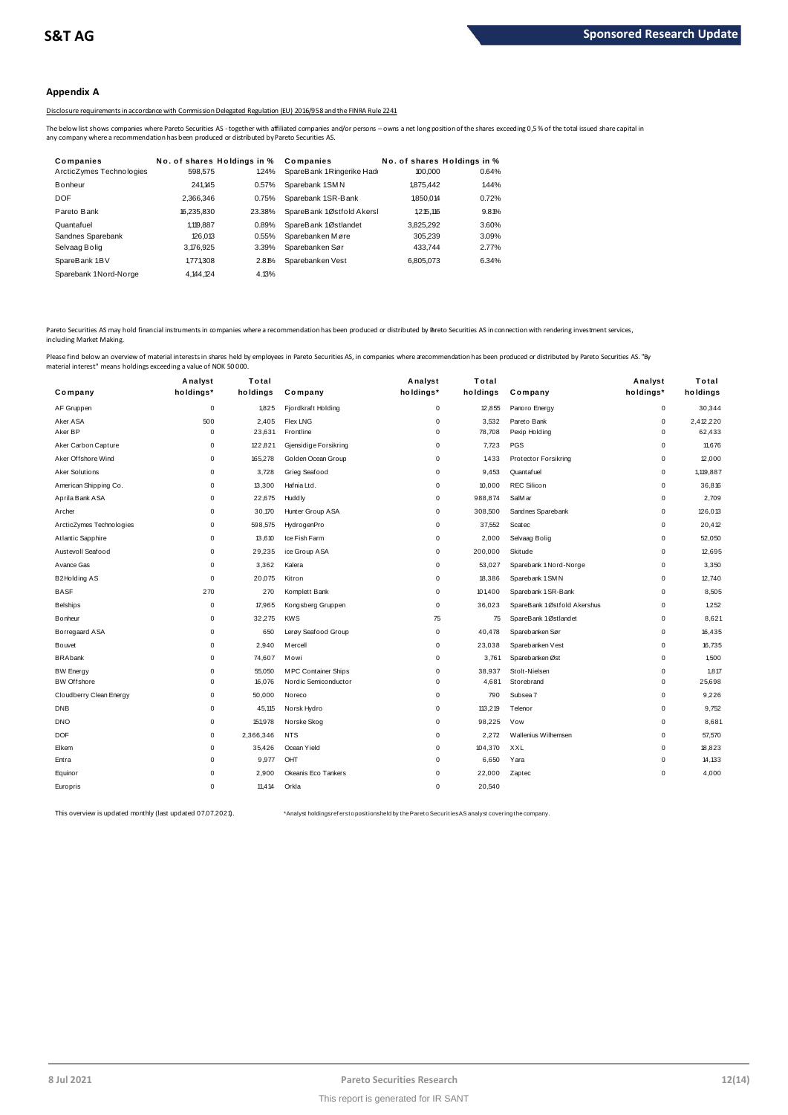## **Appendix A**

Disclosure requirements in accordance with Commission Delegated Regulation (EU) 2016/958 and the FINRA Rule 2241

| The below list shows companies where Pareto Securities AS - together with affiliated companies and/or persons - owns a net long position of the shares exceeding 0,5% of the total issued share capital in |
|------------------------------------------------------------------------------------------------------------------------------------------------------------------------------------------------------------|
| No. of shares Holdings in %                                                                                                                                                                                |
| 0.64%                                                                                                                                                                                                      |
| 1.44%                                                                                                                                                                                                      |
| 0.72%                                                                                                                                                                                                      |
| 9.81%                                                                                                                                                                                                      |
| 3.60%                                                                                                                                                                                                      |
| 3.09%                                                                                                                                                                                                      |
| 2.77%                                                                                                                                                                                                      |
| 6.34%                                                                                                                                                                                                      |
|                                                                                                                                                                                                            |
|                                                                                                                                                                                                            |

Pareto Securities AS may hold financial instruments in companies where a recommendation has been produced or distributed by Pareto Securities AS in connection with rendering investment services, including Market Making.

| naterial interest" means holdings exceeding a value of NOK 50000. |             |           |                       |             |          |                             |             |           |
|-------------------------------------------------------------------|-------------|-----------|-----------------------|-------------|----------|-----------------------------|-------------|-----------|
|                                                                   | Analyst     | Total     |                       | Analyst     | Total    |                             | Analyst     | Total     |
| Company                                                           | holdings*   | holdings  | Company               | holdings*   | holdings | Company                     | holdings*   | holdings  |
| AF Gruppen                                                        | 0           | 1,825     | Fjordkraft Holding    | $\mathsf 0$ | 12,855   | Panoro Energy               | 0           | 30,344    |
| Aker ASA                                                          | 500         | 2,405     | <b>Flex LNG</b>       | $\mathbf 0$ | 3,532    | Pareto Bank                 | $\mathbf 0$ | 2,412,220 |
| Aker BP                                                           | $\mathsf 0$ | 23,631    | Frontline             | $\mathsf 0$ | 78,708   | Pexip Holding               | $\Omega$    | 62,433    |
| Aker Carbon Capture                                               | $\mathbf 0$ | 122,821   | Gjensidige Forsikring | $\mathbf 0$ | 7,723    | PGS                         | $\mathbf 0$ | 11,676    |
| Aker Offshore Wind                                                | 0           | 165,278   | Golden Ocean Group    | 0           | 1,433    | Protector Forsikring        | 0           | 12,000    |
| Aker Solutions                                                    | $\mathbf 0$ | 3,728     | Grieg Seafood         | $\mathbf 0$ | 9,453    | Quantafuel                  | $\mathbf 0$ | 1,119,887 |
| American Shipping Co.                                             | $\Omega$    | 13,300    | Hafnia Ltd.           | 0           | 10,000   | <b>REC Silicon</b>          | 0           | 36,816    |
| Aprila Bank ASA                                                   | $\mathbf 0$ | 22,675    | Huddly                | $\mathbf 0$ | 988,874  | SalM ar                     | $\mathbf 0$ | 2,709     |
| Archer                                                            | 0           | 30,170    | Hunter Group ASA      | $\mathsf 0$ | 308,500  | Sandnes Sparebank           | 0           | 126,013   |
| ArcticZymes Technologies                                          | $\Omega$    | 598,575   | HydrogenPro           | $\mathbf 0$ | 37,552   | Scatec                      | $\mathbf 0$ | 20,412    |
| Atlantic Sapphire                                                 | $\mathbf 0$ | 13,610    | Ice Fish Farm         | $\mathbf 0$ | 2,000    | Selvaag Bolig               | $\mathbf 0$ | 52,050    |
| Austevoll Seafood                                                 | $\mathbf 0$ | 29,235    | ice Group ASA         | $\mathsf 0$ | 200,000  | Skitude                     | $\mathbf 0$ | 12,695    |
| Avance Gas                                                        | $\mathbf 0$ | 3,362     | Kalera                | $\mathbf 0$ | 53,027   | Sparebank 1 Nord-Norge      | $\mathbf 0$ | 3,350     |
| <b>B2Holding AS</b>                                               | $\mathbf 0$ | 20,075    | Kitron                | 0           | 18,386   | Sparebank 1 SM N            | 0           | 12,740    |
| <b>BASF</b>                                                       | 270         | 270       | Komplett Bank         | $\mathsf 0$ | 101,400  | Sparebank 1 SR-Bank         | $\mathbf 0$ | 8,505     |
| <b>Belships</b>                                                   | $\mathsf 0$ | 17,965    | Kongsberg Gruppen     | $\mathsf 0$ | 36,023   | SpareBank 1Østfold Akershus | 0           | 1,252     |
| <b>Bonheur</b>                                                    | $\mathbf 0$ | 32,275    | <b>KWS</b>            | 75          | 75       | SpareBank 1Østlandet        | $\mathbf 0$ | 8,621     |
| Borregaard ASA                                                    | $\mathbf 0$ | 650       | Lerøy Seafood Group   | $\mathsf 0$ | 40,478   | Sparebanken Sør             | 0           | 16,435    |
| Bouvet                                                            | $\mathbf 0$ | 2.940     | <b>Mercell</b>        | $\mathbf 0$ | 23,038   | Sparebanken Vest            | $\mathbf 0$ | 16,735    |
| <b>BRAbank</b>                                                    | $\mathsf 0$ | 74,607    | Mowi                  | $\mathsf 0$ | 3,761    | Sparebanken Øst             | $\mathbf 0$ | 1,500     |
| <b>BW Energy</b>                                                  | $\mathbf 0$ | 55,050    | M PC Container Ships  | $\mathbf 0$ | 38,937   | Stolt-Nielsen               | $\mathbf 0$ | 1,817     |
| <b>BW Offshore</b>                                                | $\mathsf 0$ | 16,076    | Nordic Semiconductor  | $\mathsf 0$ | 4,681    | Storebrand                  | $\mathbf 0$ | 25,698    |
| Cloudberry Clean Energy                                           | $\mathbf 0$ | 50,000    | Noreco                | 0           | 790      | Subsea 7                    | $\mathbf 0$ | 9,226     |
| <b>DNB</b>                                                        | $\mathbf 0$ | 45,115    | Norsk Hydro           | $\mathsf 0$ | 113,219  | Telenor                     | $\mathbf 0$ | 9,752     |
| <b>DNO</b>                                                        | $\mathbf 0$ | 151,978   | Norske Skog           | $\mathbf 0$ | 98,225   | Vow                         | $\mathbf 0$ | 8,681     |
| <b>DOF</b>                                                        | $\mathbf 0$ | 2,366,346 | <b>NTS</b>            | $\mathbf 0$ | 2,272    | Wallenius Wilhemsen         | $\mathbf 0$ | 57,570    |
| Elkem                                                             | 0           | 35,426    | Ocean Yield           | 0           | 104,370  | XXL                         | 0           | 18,823    |
| Entra                                                             | $\Omega$    | 9,977     | OHT                   | 0           | 6,650    | Yara                        | 0           | 14,133    |
| Equinor                                                           | $\mathbf 0$ | 2,900     | Okeanis Eco Tankers   | $\mathbf 0$ | 22,000   | Zaptec                      | $\Omega$    | 4,000     |
| Europris                                                          | $\Omega$    | 11,414    | Orkla                 | $\Omega$    | 20,540   |                             |             |           |
|                                                                   |             |           |                       |             |          |                             |             |           |

This overview is updated monthly (last updated 07.07.2021). \*Analyst holdings ref ers t o posit ions held by t he Paret o Securit ies AS analyst covering t he company.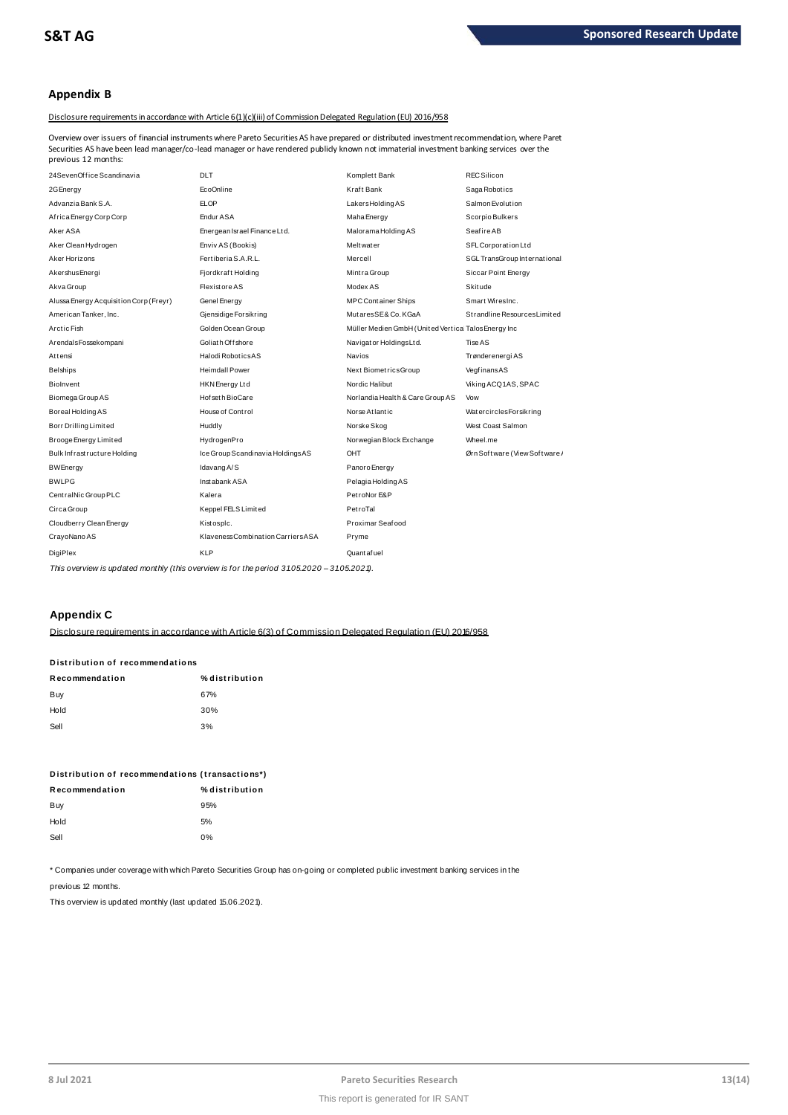## **Appendix B**

Disclosure requirements in accordance with Article 6(1)(c)(iii) of Commission Delegated Regulation (EU) 2016/958

Overview over issuers of financial instruments where Pareto Securities AS have prepared or distributed investment recommendation, where Pareto previous 12 months:

| Securities AS have been lead manager/co-lead manager or have rendered publidy known not immaterial investment banking services over the<br>previous 12 months: |                                    |                                                      |                              |
|----------------------------------------------------------------------------------------------------------------------------------------------------------------|------------------------------------|------------------------------------------------------|------------------------------|
| 24SevenOffice Scandinavia                                                                                                                                      | <b>DLT</b>                         | Komplett Bank                                        | <b>REC Silicon</b>           |
| 2G Energy                                                                                                                                                      | EcoOnline                          | Kraft Bank                                           | Saga Robotics                |
| Advanzia Bank S.A.                                                                                                                                             | <b>ELOP</b>                        | LakersHoldingAS                                      | Salmon Evolution             |
| Africa Energy Corp Corp                                                                                                                                        | Endur ASA                          | Maha Energy                                          | Scorpio Bulkers              |
| Aker ASA                                                                                                                                                       | Energean Israel Finance Ltd.       | Malorama Holding AS                                  | <b>Seafire AB</b>            |
| Aker Clean Hydrogen                                                                                                                                            | Enviv AS (Bookis)                  | Meltwater                                            | SFL Corporation Ltd          |
| Aker Horizons                                                                                                                                                  | Fertiberia S.A.R.L.                | Mercell                                              | SGL TransGroup International |
| Akershus Energi                                                                                                                                                | Fjordkraft Holding                 | Mintra Group                                         | Siccar Point Energy          |
| Akva Group                                                                                                                                                     | Flexistore AS                      | Modex AS                                             | <b>Skitude</b>               |
| Alussa Energy Acquisition Corp (Freyr)                                                                                                                         | Genel Energy                       | <b>MPC Container Ships</b>                           | Smart WiresInc.              |
| American Tanker, Inc.                                                                                                                                          | Gjensidige Forsikring              | MutaresSE&Co.KGaA                                    | Strandline Resources Limited |
| Arctic Fish                                                                                                                                                    | Golden Ocean Group                 | Müller Medien GmbH (United Vertical Talos Energy Inc |                              |
| ArendalsFossekompani                                                                                                                                           | Goliath Offshore                   | Navigator HoldingsLtd.                               | Tise AS                      |
| Attensi                                                                                                                                                        | Halodi RoboticsAS                  | <b>Navios</b>                                        | Trønderenergi AS             |
| Belships                                                                                                                                                       | <b>Heimdall Power</b>              | Next BiometricsGroup                                 | VegfinansAS                  |
| <b>Biolnvent</b>                                                                                                                                               | HKN Energy Ltd                     | Nordic Halibut                                       | Viking ACQ1AS, SPAC          |
| Biomega Group AS                                                                                                                                               | Hof set h BioCare                  | Norlandia Health & Care Group AS                     | Vow                          |
| Boreal Holding AS                                                                                                                                              | House of Control                   | Norse Atlantic                                       | WatercirclesForsikring       |
| Borr Drilling Limited                                                                                                                                          | Huddly                             | Norske Skog                                          | West Coast Salmon            |
| Brooge Energy Limited                                                                                                                                          | HydrogenPro                        | Norwegian Block Exchange                             | Wheel.me                     |
| Bulk Infrastructure Holding                                                                                                                                    | Ice Group Scandinavia HoldingsAS   | OHT                                                  | Ørn Software (View Software) |
| BWEnergy                                                                                                                                                       | Idavang A/S                        | Panoro Energy                                        |                              |
| <b>BWLPG</b>                                                                                                                                                   | Instabank ASA                      | Pelagia Holding AS                                   |                              |
| CentralNic Group PLC                                                                                                                                           | Kalera                             | PetroNor E&P                                         |                              |
| Circa Group                                                                                                                                                    | Keppel FELS Limited                | PetroTal                                             |                              |
| Cloudberry Clean Energy                                                                                                                                        | Kistosplc.                         | Proximar Seafood                                     |                              |
| CrayoNano AS                                                                                                                                                   | Klaveness Combination Carriers ASA | Pryme                                                |                              |
| DigiPlex                                                                                                                                                       | <b>KLP</b>                         | Quant af uel                                         |                              |
| .                                                                                                                                                              | $\overline{\phantom{a}}$           | 0.1000000                                            |                              |

This overview is updated monthly (this overview is for the period 31.05.2020 - 31.05.2021).

## **Appendix C**

Disclosure requirements in accordance with Article 6(3) of Commission Delegated Regulation (EU) 2016/958 **D ist ribut ion of recommendat ions**

| Distribution of recommendations |                |  |  |  |
|---------------------------------|----------------|--|--|--|
| Recommendation                  | % distribution |  |  |  |
| Buy                             | 67%            |  |  |  |
| Hold                            | 30%            |  |  |  |
| Sell                            | 3%             |  |  |  |
|                                 |                |  |  |  |

| Distribution of recommendations (transactions*) |                |
|-------------------------------------------------|----------------|
| Recommendation                                  | % distribution |
| Buy                                             | 95%            |
| Hold                                            | 5%             |
| Sell                                            | 0%             |
|                                                 |                |

\* Companies under coverage with which Pareto Securities Group has on-going or completed public investment banking services in the

previous 12 months.

This overview is updated monthly (last updated 15.06.2021).